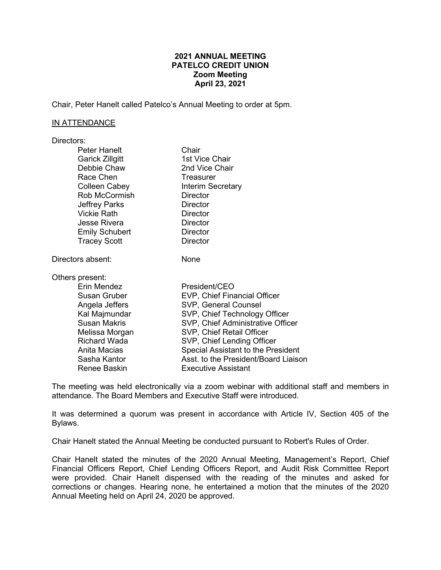# **2021 ANNUAL MEETING PATELCO CREDIT UNION Zoom Meeting April 23, 2021**

Chair, Peter Hanelt called Patelco's Annual Meeting to order at 5pm.

## IN ATTENDANCE

| Directors:             |                                      |
|------------------------|--------------------------------------|
| Peter Hanelt           | Chair                                |
| <b>Garick Zillgitt</b> | 1st Vice Chair                       |
| Debbie Chaw            | 2nd Vice Chair                       |
| Race Chen              | Treasurer                            |
| Colleen Cabey          | Interim Secretary                    |
| Rob McCormish          | Director                             |
| <b>Jeffrey Parks</b>   | Director                             |
| <b>Vickie Rath</b>     | Director                             |
| Jesse Rivera           | Director                             |
| <b>Emily Schubert</b>  | Director                             |
| <b>Tracey Scott</b>    | <b>Director</b>                      |
| Directors absent:      | None                                 |
| Others present:        |                                      |
| Erin Mendez            | President/CEO                        |
| <b>Susan Gruber</b>    | EVP, Chief Financial Officer         |
| Angela Jeffers         | SVP, General Counsel                 |
| Kal Majmundar          | SVP, Chief Technology Officer        |
| <b>Susan Makris</b>    | SVP, Chief Administrative Officer    |
| Melissa Morgan         | SVP, Chief Retail Officer            |
| <b>Richard Wada</b>    | SVP, Chief Lending Officer           |
| Anita Macias           | Special Assistant to the President   |
| Sasha Kantor           | Asst, to the President/Board Liaison |
| Renee Baskin           | Executive Assistant                  |

The meeting was held electronically via a zoom webinar with additional staff and members in attendance. The Board Members and Executive Staff were introduced.

It was determined a quorum was present in accordance with Article IV, Section 405 of the Bylaws.

Chair Hanelt stated the Annual Meeting be conducted pursuant to Robert's Rules of Order.

Chair Hanelt stated the minutes of the 2020 Annual Meeting, Management's Report, Chief Financial Officers Report, Chief Lending Officers Report, and Audit Risk Committee Report were provided. Chair Hanelt dispensed with the reading of the minutes and asked for corrections or changes. Hearing none, he entertained a motion that the minutes of the 2020 Annual Meeting held on April 24, 2020 be approved.